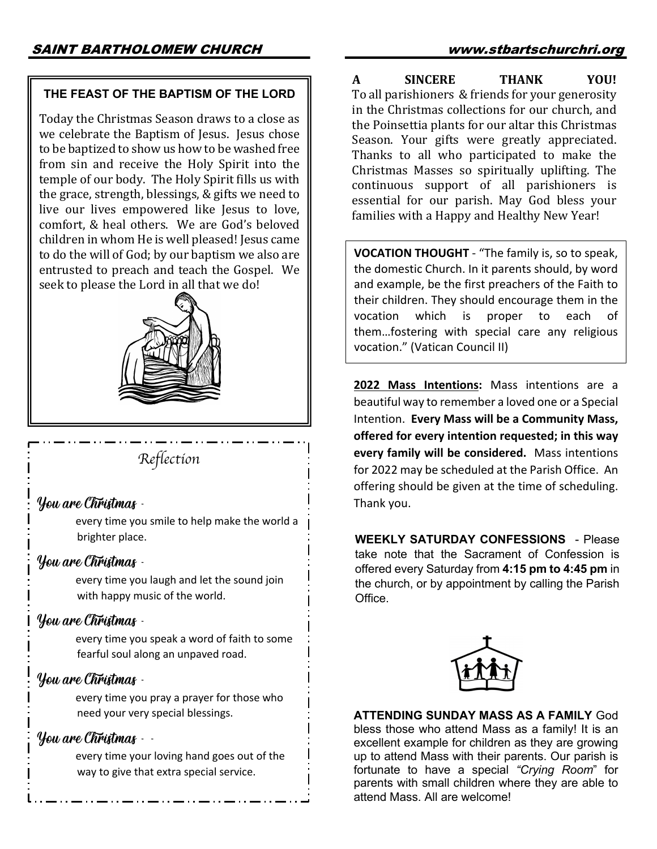### **THE FEAST OF THE BAPTISM OF THE LORD**

Today the Christmas Season draws to a close as we celebrate the Baptism of Jesus. Jesus chose to be baptized to show us how to be washed free from sin and receive the Holy Spirit into the temple of our body. The Holy Spirit fills us with the grace, strength, blessings, & gifts we need to live our lives empowered like Jesus to love, comfort, & heal others. We are God's beloved children in whom He is well pleased! Jesus came to do the will of God; by our baptism we also are entrusted to preach and teach the Gospel. We seek to please the Lord in all that we do!



*Reflection*

## You are Christmas -

every time you smile to help make the world a brighter place.

# You are Christmas -

every time you laugh and let the sound join with happy music of the world.

## You are Christmas -

every time you speak a word of faith to some fearful soul along an unpaved road.

# You are Christmas -

every time you pray a prayer for those who need your very special blessings.

## You are Christmas - -

every time your loving hand goes out of the way to give that extra special service.

**A** SINCERE THANK YOU! To all parishioners & friends for your generosity in the Christmas collections for our church, and the Poinsettia plants for our altar this Christmas Season. Your gifts were greatly appreciated. Thanks to all who participated to make the Christmas Masses so spiritually uplifting. The continuous support of all parishioners is essential for our parish. May God bless your families with a Happy and Healthy New Year!

**VOCATION THOUGHT** - "The family is, so to speak, the domestic Church. In it parents should, by word and example, be the first preachers of the Faith to their children. They should encourage them in the vocation which is proper to each of them…fostering with special care any religious vocation." (Vatican Council II)

**2022 Mass Intentions:** Mass intentions are a beautiful way to remember a loved one or a Special Intention. **Every Mass will be a Community Mass, offered for every intention requested; in this way every family will be considered.** Mass intentions for 2022 may be scheduled at the Parish Office. An offering should be given at the time of scheduling. Thank you.

**WEEKLY SATURDAY CONFESSIONS** - Please take note that the Sacrament of Confession is offered every Saturday from **4:15 pm to 4:45 pm** in the church, or by appointment by calling the Parish Office.



**ATTENDING SUNDAY MASS AS A FAMILY** God bless those who attend Mass as a family! It is an excellent example for children as they are growing up to attend Mass with their parents. Our parish is fortunate to have a special *"Crying Room*" for parents with small children where they are able to attend Mass. All are welcome!